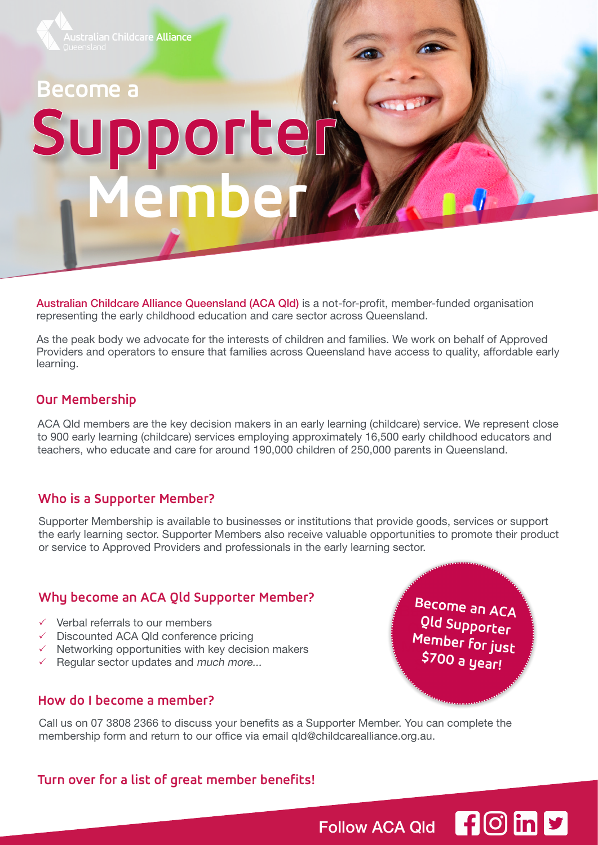

# **Become a Supporter Member**

Australian Childcare Alliance Queensland (ACA Qld) is a not-for-profit, member-funded organisation representing the early childhood education and care sector across Queensland.

As the peak body we advocate for the interests of children and families. We work on behalf of Approved Providers and operators to ensure that families across Queensland have access to quality, affordable early learning.

#### **Our Membership**

ACA Qld members are the key decision makers in an early learning (childcare) service. We represent close to 900 early learning (childcare) services employing approximately 16,500 early childhood educators and teachers, who educate and care for around 190,000 children of 250,000 parents in Queensland.

#### **Who is a Supporter Member?**

Supporter Membership is available to businesses or institutions that provide goods, services or support the early learning sector. Supporter Members also receive valuable opportunities to promote their product or service to Approved Providers and professionals in the early learning sector.

#### **Why become an ACA Qld Supporter Member?**

- $\checkmark$  Verbal referrals to our members
- $\checkmark$  Discounted ACA Qld conference pricing
- $\checkmark$  Networking opportunities with key decision makers
- $\checkmark$  Regular sector updates and much more...

#### **How do I become a member?**

Call us on 07 3808 2366 to discuss your benefits as a Supporter Member. You can complete the membership form and return to our office via email qld@childcarealliance.org.au.

#### **Turn over for a list of great member benefits!**

Become an ACA Qld Supporter Member for just \$700 a year!

Follow ACA Qld **f** O in  $\triangledown$